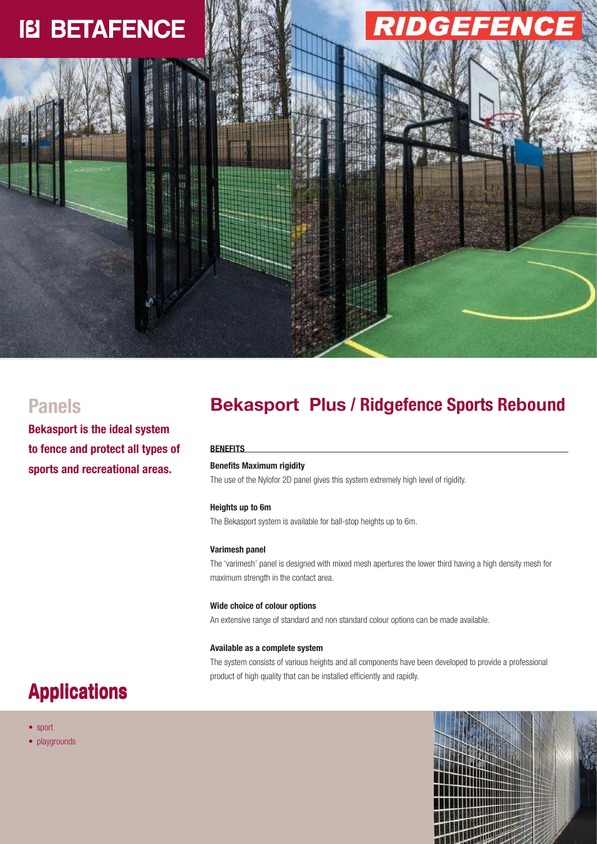# **IB BETAFENCE**

# **Panels Bekasport Plus / Ridgefence Sports Rebound**

#### **BENEFITS**

# Benefits Maximum rigidity

The use of the Nylofor 2D panel gives this system extremely high level of rigidity.

### Heights up to 6m

The Bekasport system is available for ball-stop heights up to 6m.

#### Varimesh panel

The 'varimesh' panel is designed with mixed mesh apertures the lower third having a high density mesh for maximum strength in the contact area.

#### Wide choice of colour options

An extensive range of standard and non standard colour options can be made available.

#### Available as a complete system

The system consists of various heights and all components have been developed to provide a professional product of high quality that can be installed efficiently and rapidly.

# Applications

**Bekasport is the ideal system** 

**to fence and protect all types of** 

**sports and recreational areas.**

- sport
- playgrounds